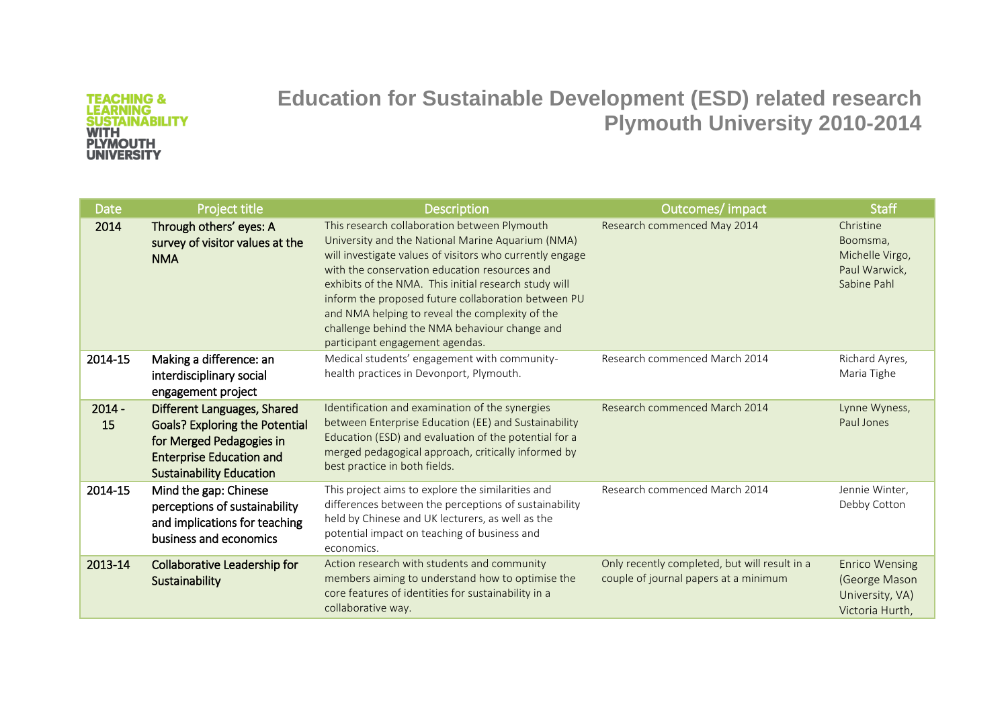**Education for Sustainable Development (ESD) related research Plymouth University 2010-2014**

| Date           | Project title                                                                                                                                                          | <b>Description</b>                                                                                                                                                                                                                                                                                                                                                                                                                                                    | Outcomes/ impact                                                                       | <b>Staff</b>                                                                 |
|----------------|------------------------------------------------------------------------------------------------------------------------------------------------------------------------|-----------------------------------------------------------------------------------------------------------------------------------------------------------------------------------------------------------------------------------------------------------------------------------------------------------------------------------------------------------------------------------------------------------------------------------------------------------------------|----------------------------------------------------------------------------------------|------------------------------------------------------------------------------|
| 2014           | Through others' eyes: A<br>survey of visitor values at the<br><b>NMA</b>                                                                                               | This research collaboration between Plymouth<br>University and the National Marine Aquarium (NMA)<br>will investigate values of visitors who currently engage<br>with the conservation education resources and<br>exhibits of the NMA. This initial research study will<br>inform the proposed future collaboration between PU<br>and NMA helping to reveal the complexity of the<br>challenge behind the NMA behaviour change and<br>participant engagement agendas. | Research commenced May 2014                                                            | Christine<br>Boomsma,<br>Michelle Virgo,<br>Paul Warwick,<br>Sabine Pahl     |
| 2014-15        | Making a difference: an<br>interdisciplinary social<br>engagement project                                                                                              | Medical students' engagement with community-<br>health practices in Devonport, Plymouth.                                                                                                                                                                                                                                                                                                                                                                              | Research commenced March 2014                                                          | Richard Ayres,<br>Maria Tighe                                                |
| $2014 -$<br>15 | Different Languages, Shared<br><b>Goals? Exploring the Potential</b><br>for Merged Pedagogies in<br><b>Enterprise Education and</b><br><b>Sustainability Education</b> | Identification and examination of the synergies<br>between Enterprise Education (EE) and Sustainability<br>Education (ESD) and evaluation of the potential for a<br>merged pedagogical approach, critically informed by<br>best practice in both fields.                                                                                                                                                                                                              | Research commenced March 2014                                                          | Lynne Wyness,<br>Paul Jones                                                  |
| 2014-15        | Mind the gap: Chinese<br>perceptions of sustainability<br>and implications for teaching<br>business and economics                                                      | This project aims to explore the similarities and<br>differences between the perceptions of sustainability<br>held by Chinese and UK lecturers, as well as the<br>potential impact on teaching of business and<br>economics.                                                                                                                                                                                                                                          | Research commenced March 2014                                                          | Jennie Winter,<br>Debby Cotton                                               |
| 2013-14        | Collaborative Leadership for<br>Sustainability                                                                                                                         | Action research with students and community<br>members aiming to understand how to optimise the<br>core features of identities for sustainability in a<br>collaborative way.                                                                                                                                                                                                                                                                                          | Only recently completed, but will result in a<br>couple of journal papers at a minimum | <b>Enrico Wensing</b><br>(George Mason<br>University, VA)<br>Victoria Hurth, |

## **TEACHING &<br>LEARNING<br>SUSTAINABILITY<br>WITH<br>PLYMOUTH<br>UNIVERSITY**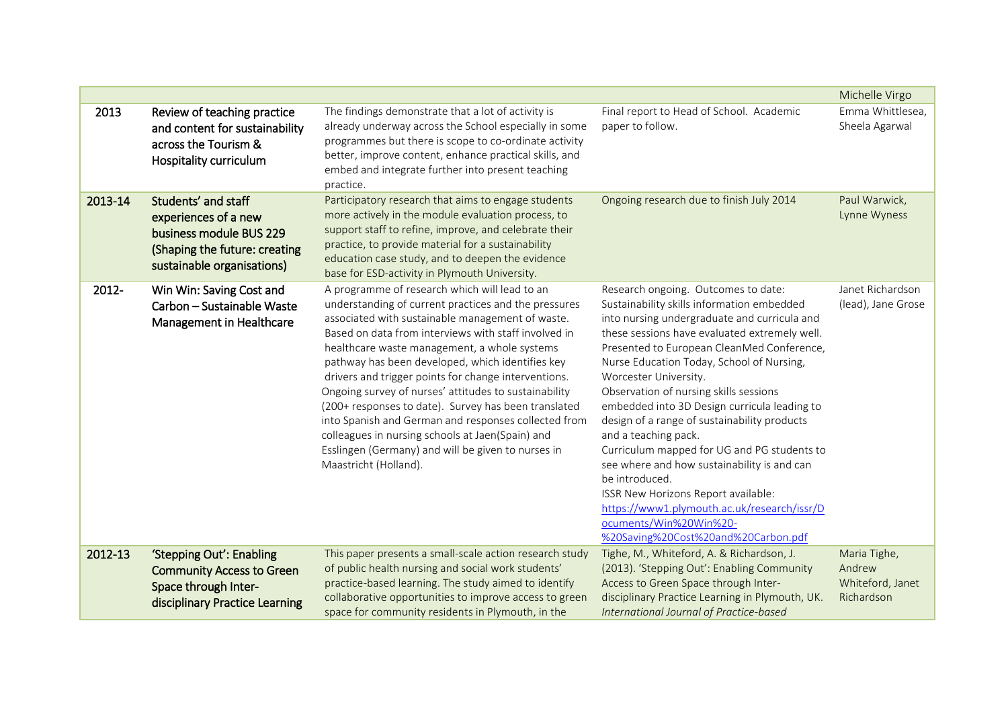|         |                                                                                                                                       |                                                                                                                                                                                                                                                                                                                                                                                                                                                                                                                                                                                                                                                                                           |                                                                                                                                                                                                                                                                                                                                                                                                                                                                                                                                                                                                                                                                                                                                                 | Michelle Virgo                                           |
|---------|---------------------------------------------------------------------------------------------------------------------------------------|-------------------------------------------------------------------------------------------------------------------------------------------------------------------------------------------------------------------------------------------------------------------------------------------------------------------------------------------------------------------------------------------------------------------------------------------------------------------------------------------------------------------------------------------------------------------------------------------------------------------------------------------------------------------------------------------|-------------------------------------------------------------------------------------------------------------------------------------------------------------------------------------------------------------------------------------------------------------------------------------------------------------------------------------------------------------------------------------------------------------------------------------------------------------------------------------------------------------------------------------------------------------------------------------------------------------------------------------------------------------------------------------------------------------------------------------------------|----------------------------------------------------------|
| 2013    | Review of teaching practice<br>and content for sustainability<br>across the Tourism &<br>Hospitality curriculum                       | The findings demonstrate that a lot of activity is<br>already underway across the School especially in some<br>programmes but there is scope to co-ordinate activity<br>better, improve content, enhance practical skills, and<br>embed and integrate further into present teaching<br>practice.                                                                                                                                                                                                                                                                                                                                                                                          | Final report to Head of School. Academic<br>paper to follow.                                                                                                                                                                                                                                                                                                                                                                                                                                                                                                                                                                                                                                                                                    | Emma Whittlesea,<br>Sheela Agarwal                       |
| 2013-14 | Students' and staff<br>experiences of a new<br>business module BUS 229<br>(Shaping the future: creating<br>sustainable organisations) | Participatory research that aims to engage students<br>more actively in the module evaluation process, to<br>support staff to refine, improve, and celebrate their<br>practice, to provide material for a sustainability<br>education case study, and to deepen the evidence<br>base for ESD-activity in Plymouth University.                                                                                                                                                                                                                                                                                                                                                             | Ongoing research due to finish July 2014                                                                                                                                                                                                                                                                                                                                                                                                                                                                                                                                                                                                                                                                                                        | Paul Warwick,<br>Lynne Wyness                            |
| 2012-   | Win Win: Saving Cost and<br>Carbon - Sustainable Waste<br>Management in Healthcare                                                    | A programme of research which will lead to an<br>understanding of current practices and the pressures<br>associated with sustainable management of waste.<br>Based on data from interviews with staff involved in<br>healthcare waste management, a whole systems<br>pathway has been developed, which identifies key<br>drivers and trigger points for change interventions.<br>Ongoing survey of nurses' attitudes to sustainability<br>(200+ responses to date). Survey has been translated<br>into Spanish and German and responses collected from<br>colleagues in nursing schools at Jaen(Spain) and<br>Esslingen (Germany) and will be given to nurses in<br>Maastricht (Holland). | Research ongoing. Outcomes to date:<br>Sustainability skills information embedded<br>into nursing undergraduate and curricula and<br>these sessions have evaluated extremely well.<br>Presented to European CleanMed Conference,<br>Nurse Education Today, School of Nursing,<br>Worcester University.<br>Observation of nursing skills sessions<br>embedded into 3D Design curricula leading to<br>design of a range of sustainability products<br>and a teaching pack.<br>Curriculum mapped for UG and PG students to<br>see where and how sustainability is and can<br>be introduced.<br>ISSR New Horizons Report available:<br>https://www1.plymouth.ac.uk/research/issr/D<br>ocuments/Win%20Win%20-<br>%20Saving%20Cost%20and%20Carbon.pdf | Janet Richardson<br>(lead), Jane Grose                   |
| 2012-13 | 'Stepping Out': Enabling<br><b>Community Access to Green</b><br>Space through Inter-<br>disciplinary Practice Learning                | This paper presents a small-scale action research study<br>of public health nursing and social work students'<br>practice-based learning. The study aimed to identify<br>collaborative opportunities to improve access to green<br>space for community residents in Plymouth, in the                                                                                                                                                                                                                                                                                                                                                                                                      | Tighe, M., Whiteford, A. & Richardson, J.<br>(2013). 'Stepping Out': Enabling Community<br>Access to Green Space through Inter-<br>disciplinary Practice Learning in Plymouth, UK.<br>International Journal of Practice-based                                                                                                                                                                                                                                                                                                                                                                                                                                                                                                                   | Maria Tighe,<br>Andrew<br>Whiteford, Janet<br>Richardson |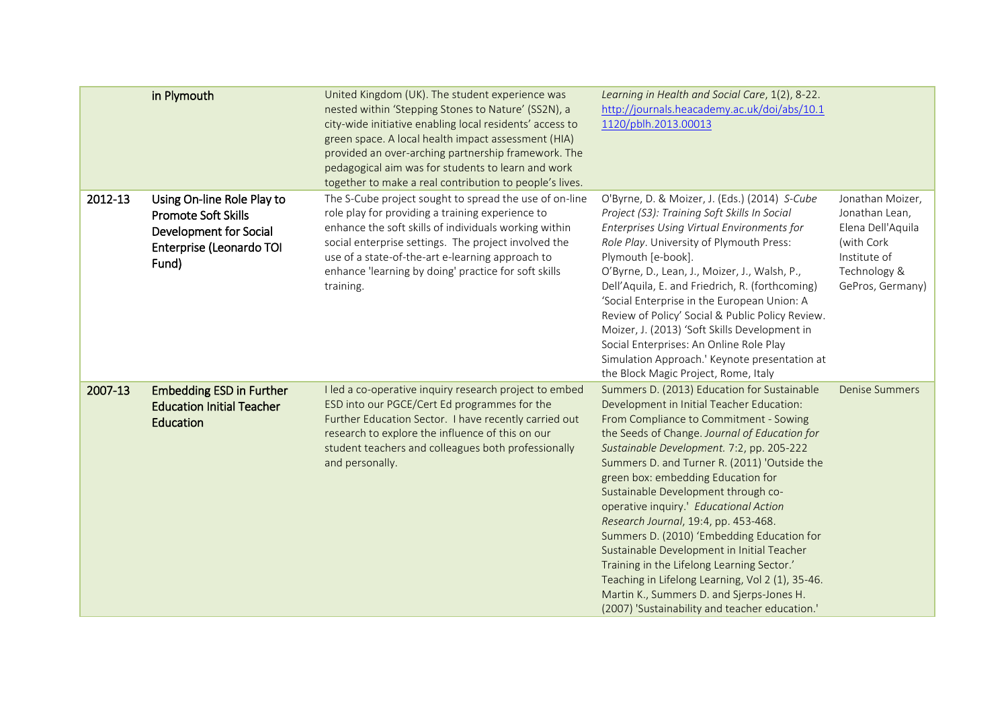|         | in Plymouth                                                                                                             | United Kingdom (UK). The student experience was<br>nested within 'Stepping Stones to Nature' (SS2N), a<br>city-wide initiative enabling local residents' access to<br>green space. A local health impact assessment (HIA)<br>provided an over-arching partnership framework. The<br>pedagogical aim was for students to learn and work<br>together to make a real contribution to people's lives. | Learning in Health and Social Care, 1(2), 8-22.<br>http://journals.heacademy.ac.uk/doi/abs/10.1<br>1120/pblh.2013.00013                                                                                                                                                                                                                                                                                                                                                                                                                                                                                                                                                                                                                      |                                                                                                                           |
|---------|-------------------------------------------------------------------------------------------------------------------------|---------------------------------------------------------------------------------------------------------------------------------------------------------------------------------------------------------------------------------------------------------------------------------------------------------------------------------------------------------------------------------------------------|----------------------------------------------------------------------------------------------------------------------------------------------------------------------------------------------------------------------------------------------------------------------------------------------------------------------------------------------------------------------------------------------------------------------------------------------------------------------------------------------------------------------------------------------------------------------------------------------------------------------------------------------------------------------------------------------------------------------------------------------|---------------------------------------------------------------------------------------------------------------------------|
| 2012-13 | Using On-line Role Play to<br><b>Promote Soft Skills</b><br>Development for Social<br>Enterprise (Leonardo TOI<br>Fund) | The S-Cube project sought to spread the use of on-line<br>role play for providing a training experience to<br>enhance the soft skills of individuals working within<br>social enterprise settings. The project involved the<br>use of a state-of-the-art e-learning approach to<br>enhance 'learning by doing' practice for soft skills<br>training.                                              | O'Byrne, D. & Moizer, J. (Eds.) (2014) S-Cube<br>Project (S3): Training Soft Skills In Social<br>Enterprises Using Virtual Environments for<br>Role Play. University of Plymouth Press:<br>Plymouth [e-book].<br>O'Byrne, D., Lean, J., Moizer, J., Walsh, P.,<br>Dell'Aquila, E. and Friedrich, R. (forthcoming)<br>'Social Enterprise in the European Union: A<br>Review of Policy' Social & Public Policy Review.<br>Moizer, J. (2013) 'Soft Skills Development in<br>Social Enterprises: An Online Role Play<br>Simulation Approach.' Keynote presentation at<br>the Block Magic Project, Rome, Italy                                                                                                                                    | Jonathan Moizer,<br>Jonathan Lean,<br>Elena Dell'Aquila<br>(with Cork<br>Institute of<br>Technology &<br>GePros, Germany) |
| 2007-13 | <b>Embedding ESD in Further</b><br><b>Education Initial Teacher</b><br>Education                                        | I led a co-operative inquiry research project to embed<br>ESD into our PGCE/Cert Ed programmes for the<br>Further Education Sector. I have recently carried out<br>research to explore the influence of this on our<br>student teachers and colleagues both professionally<br>and personally.                                                                                                     | Summers D. (2013) Education for Sustainable<br>Development in Initial Teacher Education:<br>From Compliance to Commitment - Sowing<br>the Seeds of Change. Journal of Education for<br>Sustainable Development. 7:2, pp. 205-222<br>Summers D. and Turner R. (2011) 'Outside the<br>green box: embedding Education for<br>Sustainable Development through co-<br>operative inquiry.' Educational Action<br>Research Journal, 19:4, pp. 453-468.<br>Summers D. (2010) 'Embedding Education for<br>Sustainable Development in Initial Teacher<br>Training in the Lifelong Learning Sector.'<br>Teaching in Lifelong Learning, Vol 2 (1), 35-46.<br>Martin K., Summers D. and Sjerps-Jones H.<br>(2007) 'Sustainability and teacher education.' | <b>Denise Summers</b>                                                                                                     |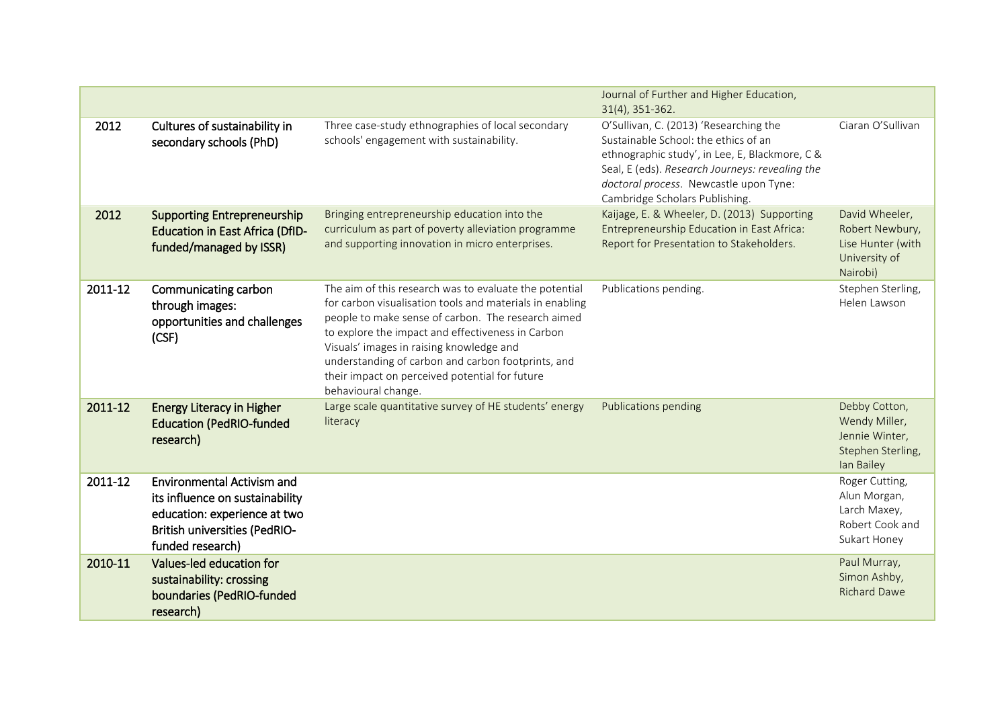|         |                                                                                                                                                                  |                                                                                                                                                                                                                                                                                                                                                                                                          | Journal of Further and Higher Education,<br>31(4), 351-362.                                                                                                                                                                                                     |                                                                                     |
|---------|------------------------------------------------------------------------------------------------------------------------------------------------------------------|----------------------------------------------------------------------------------------------------------------------------------------------------------------------------------------------------------------------------------------------------------------------------------------------------------------------------------------------------------------------------------------------------------|-----------------------------------------------------------------------------------------------------------------------------------------------------------------------------------------------------------------------------------------------------------------|-------------------------------------------------------------------------------------|
| 2012    | Cultures of sustainability in<br>secondary schools (PhD)                                                                                                         | Three case-study ethnographies of local secondary<br>schools' engagement with sustainability.                                                                                                                                                                                                                                                                                                            | O'Sullivan, C. (2013) 'Researching the<br>Sustainable School: the ethics of an<br>ethnographic study', in Lee, E, Blackmore, C &<br>Seal, E (eds). Research Journeys: revealing the<br>doctoral process. Newcastle upon Tyne:<br>Cambridge Scholars Publishing. | Ciaran O'Sullivan                                                                   |
| 2012    | <b>Supporting Entrepreneurship</b><br><b>Education in East Africa (DfID-</b><br>funded/managed by ISSR)                                                          | Bringing entrepreneurship education into the<br>curriculum as part of poverty alleviation programme<br>and supporting innovation in micro enterprises.                                                                                                                                                                                                                                                   | Kaijage, E. & Wheeler, D. (2013) Supporting<br>Entrepreneurship Education in East Africa:<br>Report for Presentation to Stakeholders.                                                                                                                           | David Wheeler,<br>Robert Newbury,<br>Lise Hunter (with<br>University of<br>Nairobi) |
| 2011-12 | Communicating carbon<br>through images:<br>opportunities and challenges<br>(CSF)                                                                                 | The aim of this research was to evaluate the potential<br>for carbon visualisation tools and materials in enabling<br>people to make sense of carbon. The research aimed<br>to explore the impact and effectiveness in Carbon<br>Visuals' images in raising knowledge and<br>understanding of carbon and carbon footprints, and<br>their impact on perceived potential for future<br>behavioural change. | Publications pending.                                                                                                                                                                                                                                           | Stephen Sterling,<br>Helen Lawson                                                   |
| 2011-12 | <b>Energy Literacy in Higher</b><br><b>Education (PedRIO-funded</b><br>research)                                                                                 | Large scale quantitative survey of HE students' energy<br>literacy                                                                                                                                                                                                                                                                                                                                       | Publications pending                                                                                                                                                                                                                                            | Debby Cotton,<br>Wendy Miller,<br>Jennie Winter,<br>Stephen Sterling,<br>lan Bailey |
| 2011-12 | <b>Environmental Activism and</b><br>its influence on sustainability<br>education: experience at two<br><b>British universities (PedRIO-</b><br>funded research) |                                                                                                                                                                                                                                                                                                                                                                                                          |                                                                                                                                                                                                                                                                 | Roger Cutting,<br>Alun Morgan,<br>Larch Maxey,<br>Robert Cook and<br>Sukart Honey   |
| 2010-11 | Values-led education for<br>sustainability: crossing<br>boundaries (PedRIO-funded<br>research)                                                                   |                                                                                                                                                                                                                                                                                                                                                                                                          |                                                                                                                                                                                                                                                                 | Paul Murray,<br>Simon Ashby,<br><b>Richard Dawe</b>                                 |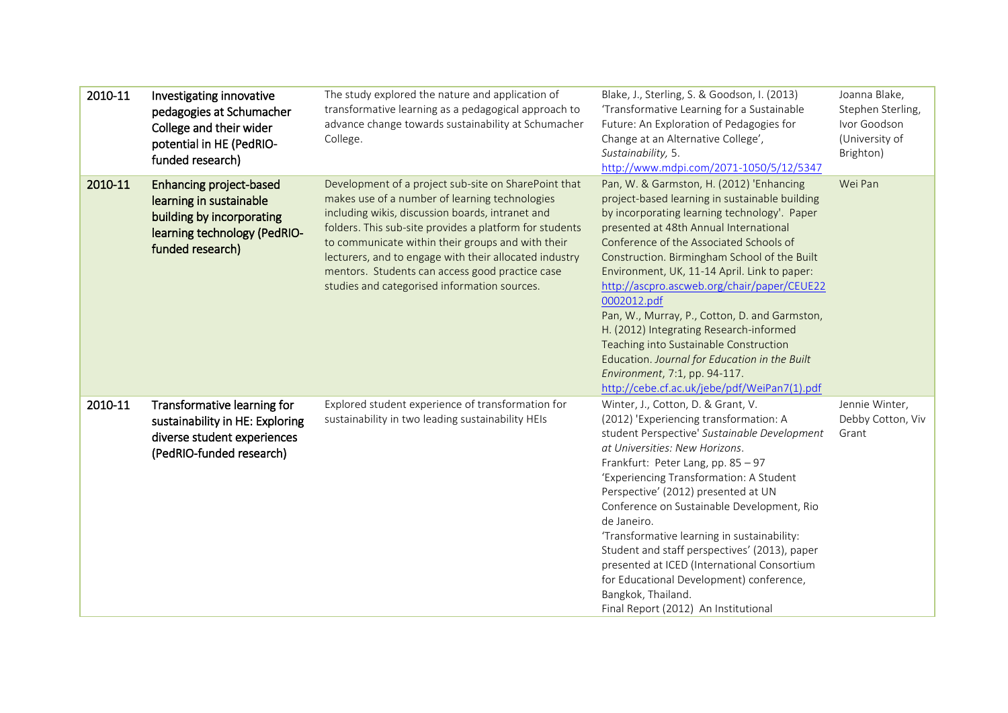| 2010-11 | Investigating innovative<br>pedagogies at Schumacher<br>College and their wider<br>potential in HE (PedRIO-<br>funded research)            | The study explored the nature and application of<br>transformative learning as a pedagogical approach to<br>advance change towards sustainability at Schumacher<br>College.                                                                                                                                                                                                                                                             | Blake, J., Sterling, S. & Goodson, I. (2013)<br>'Transformative Learning for a Sustainable<br>Future: An Exploration of Pedagogies for<br>Change at an Alternative College',<br>Sustainability, 5.<br>http://www.mdpi.com/2071-1050/5/12/5347                                                                                                                                                                                                                                                                                                                                                                                                                         | Joanna Blake,<br>Stephen Sterling,<br>Ivor Goodson<br>(University of<br>Brighton) |
|---------|--------------------------------------------------------------------------------------------------------------------------------------------|-----------------------------------------------------------------------------------------------------------------------------------------------------------------------------------------------------------------------------------------------------------------------------------------------------------------------------------------------------------------------------------------------------------------------------------------|-----------------------------------------------------------------------------------------------------------------------------------------------------------------------------------------------------------------------------------------------------------------------------------------------------------------------------------------------------------------------------------------------------------------------------------------------------------------------------------------------------------------------------------------------------------------------------------------------------------------------------------------------------------------------|-----------------------------------------------------------------------------------|
| 2010-11 | <b>Enhancing project-based</b><br>learning in sustainable<br>building by incorporating<br>learning technology (PedRIO-<br>funded research) | Development of a project sub-site on SharePoint that<br>makes use of a number of learning technologies<br>including wikis, discussion boards, intranet and<br>folders. This sub-site provides a platform for students<br>to communicate within their groups and with their<br>lecturers, and to engage with their allocated industry<br>mentors. Students can access good practice case<br>studies and categorised information sources. | Pan, W. & Garmston, H. (2012) 'Enhancing<br>project-based learning in sustainable building<br>by incorporating learning technology'. Paper<br>presented at 48th Annual International<br>Conference of the Associated Schools of<br>Construction. Birmingham School of the Built<br>Environment, UK, 11-14 April. Link to paper:<br>http://ascpro.ascweb.org/chair/paper/CEUE22<br>0002012.pdf<br>Pan, W., Murray, P., Cotton, D. and Garmston,<br>H. (2012) Integrating Research-informed<br>Teaching into Sustainable Construction<br>Education. Journal for Education in the Built<br>Environment, 7:1, pp. 94-117.<br>http://cebe.cf.ac.uk/jebe/pdf/WeiPan7(1).pdf | Wei Pan                                                                           |
| 2010-11 | Transformative learning for<br>sustainability in HE: Exploring<br>diverse student experiences<br>(PedRIO-funded research)                  | Explored student experience of transformation for<br>sustainability in two leading sustainability HEIs                                                                                                                                                                                                                                                                                                                                  | Winter, J., Cotton, D. & Grant, V.<br>(2012) 'Experiencing transformation: A<br>student Perspective' Sustainable Development<br>at Universities: New Horizons.<br>Frankfurt: Peter Lang, pp. 85 - 97<br>'Experiencing Transformation: A Student<br>Perspective' (2012) presented at UN<br>Conference on Sustainable Development, Rio<br>de Janeiro.<br>'Transformative learning in sustainability:<br>Student and staff perspectives' (2013), paper<br>presented at ICED (International Consortium<br>for Educational Development) conference,<br>Bangkok, Thailand.<br>Final Report (2012) An Institutional                                                          | Jennie Winter,<br>Debby Cotton, Viv<br>Grant                                      |